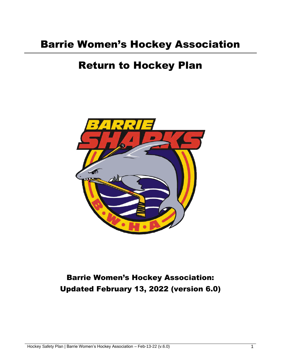# Barrie Women's Hockey Association

# Return to Hockey Plan



# Barrie Women's Hockey Association: Updated February 13, 2022 (version 6.0)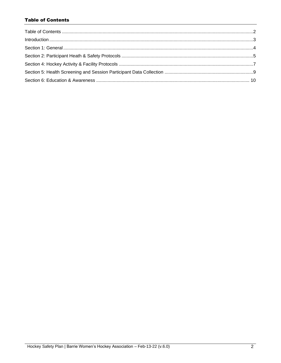# <span id="page-1-0"></span>**Table of Contents**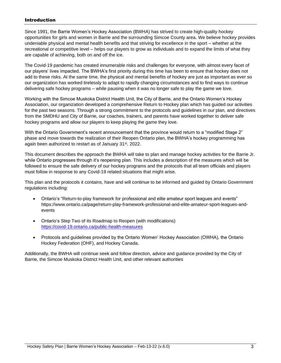# <span id="page-2-0"></span>Introduction

Since 1991, the Barrie Women's Hockey Association (BWHA) has strived to create high-quality hockey opportunities for girls and women in Barrie and the surrounding Simcoe County area. We believe hockey provides undeniable physical and mental health benefits and that striving for excellence in the sport – whether at the recreational or competitive level – helps our players to grow as individuals and to expand the limits of what they are capable of achieving, both on and off the ice.

The Covid-19 pandemic has created innumerable risks and challenges for everyone, with almost every facet of our players' lives impacted. The BWHA's first priority during this time has been to ensure that hockey does not add to these risks. At the same time, the physical and mental benefits of hockey are just as important as ever so our organization has worked tirelessly to adapt to rapidly changing circumstances and to find ways to continue delivering safe hockey programs – while pausing when it was no longer safe to play the game we love.

Working with the Simcoe Muskoka District Health Unit, the City of Barrie, and the Ontario Women's Hockey Association, our organization developed a comprehensive Return to Hockey plan which has guided our activities for the past two seasons. Through a strong commitment to the protocols and guidelines in our plan, and directives from the SMDHU and City of Barrie, our coaches, trainers, and parents have worked together to deliver safe hockey programs and allow our players to keep playing the game they love.

With the Ontario Government's recent announcement that the province would return to a "modified Stage 2" phase and move towards the realization of their Reopen Ontario plan, the BWHA's hockey programming has again been authorized to restart as of January 31st, 2022.

This document describes the approach the BWHA will take to plan and manage hockey activities for the Barrie Jr. while Ontario progresses through it's reopening plan. This includes a description of the measures which will be followed to ensure the safe delivery of our hockey programs and the protocols that all team officials and players must follow in response to any Covid-19 related situations that might arise.

This plan and the protocols it contains, have and will continue to be informed and guided by Ontario Government regulations including:

- Ontario's "Return-to-play framework for professional and elite amateur sport leagues and events" https://www.ontario.ca/page/return-play-framework-professional-and-elite-amateur-sport-leagues-andevents
- Ontario's [Step Two of its Roadmap to Reopen \(with modifications\)](https://covid-19.ontario.ca/public-health-measures) <https://covid-19.ontario.ca/public-health-measures>
- Protocols and guidelines provided by the Ontario Women' Hockey Association (OWHA), the Ontario Hockey Federation (OHF), and Hockey Canada.

Additionally, the BWHA will continue seek and follow direction, advice and guidance provided by the City of Barrie, the Simcoe Muskoka District Health Unit, and other relevant authorities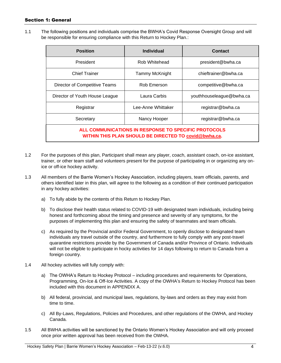# <span id="page-3-0"></span>Section 1: General

1.1 The following positions and individuals comprise the BWHA's Covid Response Oversight Group and will be responsible for ensuring compliance with this Return to Hockey Plan.:

| <b>Position</b>                                                                                               | <b>Individual</b>  | <b>Contact</b>           |  |
|---------------------------------------------------------------------------------------------------------------|--------------------|--------------------------|--|
| President                                                                                                     | Rob Whitehead      | president@bwha.ca        |  |
| <b>Chief Trainer</b>                                                                                          | Tammy McKnight     | chieftrainer@bwha.ca     |  |
| Director of Competitive Teams                                                                                 | Rob Emerson        | competitive@bwha.ca      |  |
| Director of Youth House League                                                                                | Laura Carbis       | youthhouseleague@bwha.ca |  |
| Registrar                                                                                                     | Lee-Anne Whittaker | registrar@bwha.ca        |  |
| Secretary                                                                                                     | Nancy Hooper       | registrar@bwha.ca        |  |
| ALL COMMUNICATIONS IN RESPONSE TO SPECIFIC PROTOCOLS<br>WITHIN THIS PLAN SHOULD BE DIRECTED TO covid@bwha.ca. |                    |                          |  |

- 1.2 For the purposes of this plan, Participant shall mean any player, coach, assistant coach, on-ice assistant, trainer, or other team staff and volunteers present for the purpose of participating in or organizing any onice or off-ice hockey activity.
- 1.3 All members of the Barrie Women's Hockey Association, including players, team officials, parents, and others identified later in this plan, will agree to the following as a condition of their continued participation in any hockey activities:
	- a) To fully abide by the contents of this Return to Hockey Plan.
	- b) To disclose their health status related to COVID-19 with designated team individuals, including being honest and forthcoming about the timing and presence and severity of any symptoms, for the purposes of implementing this plan and ensuring the safety of teammates and team officials.
	- c) As required by the Provincial and/or Federal Government, to openly disclose to designated team individuals any travel outside of the country, and furthermore to fully comply with any post-travel quarantine restrictions provide by the Government of Canada and/or Province of Ontario. Individuals will not be eligible to participate in hocky activities for 14 days following to return to Canada from a foreign country.
- 1.4 All hockey activities will fully comply with:
	- a) The OWHA's Return to Hockey Protocol including procedures and requirements for Operations, Programming, On-Ice & Off-Ice Activities. A copy of the OWHA's Return to Hockey Protocol has been included with this document in APPENDIX A.
	- b) All federal, provincial, and municipal laws, regulations, by-laws and orders as they may exist from time to time.
	- c) All By-Laws, Regulations, Policies and Procedures, and other regulations of the OWHA, and Hockey Canada.
- 1.5 All BWHA activities will be sanctioned by the Ontario Women's Hockey Association and will only proceed once prior written approval has been received from the OWHA.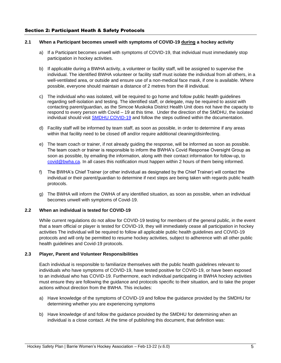### <span id="page-4-0"></span>**2.1 When a Participant becomes unwell with symptoms of COVID-19 during a hockey activity**

- a) If a Participant becomes unwell with symptoms of COVID-19, that individual must immediately stop participation in hockey activities.
- b) If applicable during a BWHA activity, a volunteer or facility staff, will be assigned to supervise the individual. The identified BWHA volunteer or facility staff must isolate the individual from all others, in a well-ventilated area, or outside and ensure use of a non-medical face mask, if one is available. Where possible, everyone should maintain a distance of 2 metres from the ill individual.
- c) The individual who was isolated, will be required to go home and follow public health guidelines regarding self-isolation and testing. The identified staff, or delegate, may be required to assist with contacting parent/guardian, as the Simcoe Muskoka District Health Unit does not have the capacity to respond to every person with Covid – 19 at this time. Under the direction of the SMDHU, the isolated individual should visit [SMDHU COVID-19](mailto:https://www.simcoemuskokahealth.org/Topics/COVID-19) and follow the steps outlined within the documentation.
- d) Facility staff will be informed by team staff, as soon as possible, in order to determine if any areas within that facility need to be closed off and/or require additional cleaning/disinfecting.
- e) The team coach or trainer, if not already guiding the response, will be informed as soon as possible. The team coach or trainer is responsible to inform the BWHA's Covid Response Oversight Group as soon as possible, by emailing the information, along with their contact information for follow-up, to [covid@bwha.ca.](mailto:covid@bwha.ca) In all cases this notification must happen within 2 hours of them being informed.
- f) The BWHA's Chief Trainer (or other individual as designated by the Chief Trainer) will contact the individual or their parent/guardian to determine if next steps are being taken with regards public health protocols.
- g) The BWHA will inform the OWHA of any identified situation, as soon as possible, when an individual becomes unwell with symptoms of Covid-19.

#### **2.2 When an individual is tested for COVID-19**

While current regulations do not allow for COVID-19 testing for members of the general public, in the event that a team official or player is tested for COVID-19, they will immediately cease all participation in hockey activities The individual will be required to follow all applicable public health guidelines and COVID-19 protocols and will only be permitted to resume hockey activities, subject to adherence with all other public health guidelines and Covid-19 protocols.

### **2.3 Player, Parent and Volunteer Responsibilities**

Each individual is responsible to familiarize themselves with the public health guidelines relevant to individuals who have symptoms of COVID-19, have tested positive for COVID-19, or have been exposed to an individual who has COVID-19. Furthermore, each individual participating in BWHA hockey activities must ensure they are following the guidance and protocols specific to their situation, and to take the proper actions without direction from the BWHA. This includes:

- a) Have knowledge of the symptoms of COVID-19 and follow the guidance provided by the SMDHU for determining whether you are experiencing symptoms
- b) Have knowledge of and follow the guidance provided by the SMDHU for determining when an individual is a close contact. At the time of publishing this document, that definition was: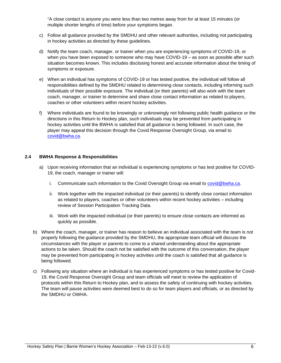"A close contact is anyone you were less than two metres away from for at least 15 minutes (or multiple shorter lengths of time) before your symptoms began.

- c) Follow all guidance provided by the SMDHU and other relevant authorities, including not participating in hockey activities as directed by these guidelines.
- d) Notify the team coach, manager, or trainer when you are experiencing symptoms of COVID-19, or when you have been exposed to someone who may have COVID-19 – as soon as possible after such situation becomes known. This includes disclosing honest and accurate information about the timing of symptoms or exposure.
- e) When an individual has symptoms of COVID-19 or has tested positive, the individual will follow all responsibilities defined by the SMDHU related to determining close contacts, including informing such individuals of their possible exposure. The individual (or their parents) will also work with the team coach, manager, or trainer to determine and share close contact information as related to players, coaches or other volunteers within recent hockey activities.
- f) Where individuals are found to be knowingly or unknowingly not following public health guidance or the directions in this Return to Hockey plan, such individuals may be prevented from participating in hockey activities until the BWHA is satisfied that all guidance is being followed. In such case, the player may appeal this decision through the Covid Response Oversight Group, via email to [covid@bwha.ca.](mailto:covid@bwha.ca)

### **2.4 BWHA Response & Responsibilities**

- a) Upon receiving information that an individual is experiencing symptoms or has test positive for COVID-19, the coach, manager or trainer will:
	- i. Communicate such information to the Covid Oversight Group via email to [covid@bwha.ca.](mailto:covid@bwha.ca)
	- ii. Work together with the impacted individual (or their parents) to identify close contact information as related to players, coaches or other volunteers within recent hockey activities – including review of Session Participation Tracking Data.
	- iii. Work with the impacted individual (or their parents) to ensure close contacts are informed as quickly as possible.
- b) Where the coach, manager, or trainer has reason to believe an individual associated with the team is not properly following the guidance provided by the SMDHU, the appropriate team official will discuss the circumstances with the player or parents to come to a shared understanding about the appropriate actions to be taken. Should the coach not be satisfied with the outcome of this conversation, the player may be prevented from participating in hockey activities until the coach is satisfied that all guidance is being followed.
- c) Following any situation where an individual is has experienced symptoms or has tested positive for Covid-19, the Covid Response Oversight Group and team officials will meet to review the application of protocols within this Return to Hockey plan, and to assess the safety of continuing with hockey activities. The team will pause activities were deemed best to do so for team players and officials, or as directed by the SMDHU or OWHA.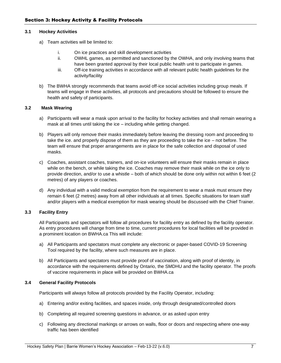#### <span id="page-6-0"></span>**3.1 Hockey Activities**

- a) Team activities will be limited to:
	- i. On ice practices and skill development activities
	- ii. OWHL games, as permitted and sanctioned by the OWHA, and only involving teams that have been granted approval by their local public health unit to participate in games.
	- iii. Off-ice training activities in accordance with all relevant public health guidelines for the activity/facility
- b) The BWHA strongly recommends that teams avoid off-ice social activities including group meals. If teams will engage in these activities, all protocols and precautions should be followed to ensure the health and safety of participants.

#### **3.2 Mask Wearing**

- a) Participants will wear a mask upon arrival to the facility for hockey activities and shall remain wearing a mask at all times until taking the ice – including while getting changed.
- b) Players will only remove their masks immediately before leaving the dressing room and proceeding to take the ice. and properly dispose of them as they are proceeding to take the ice – not before. The team will ensure that proper arrangements are in place for the safe collection and disposal of used masks.
- c) Coaches, assistant coaches, trainers, and on-ice volunteers will ensure their masks remain in place while on the bench, or while taking the ice. Coaches may remove their mask while on the ice only to provide direction, and/or to use a whistle – both of which should be done only within not within 6 feet (2 metres) of any players or coaches.
- d) Any individual with a valid medical exemption from the requirement to wear a mask must ensure they remain 6 feet (2 metres) away from all other individuals at all times. Specific situations for team staff and/or players with a medical exemption for mask wearing should be discussed with the Chief Trainer.

### **3.3 Facility Entry**

All Participants and spectators will follow all procedures for facility entry as defined by the facility operator. As entry procedures will change from time to time, current procedures for local facilities will be provided in a prominent location on BWHA.ca This will include:

- a) All Participants and spectators must complete any electronic or paper-based COVID-19 Screening Tool required by the facility, where such measures are in place.
- b) All Participants and spectators must provide proof of vaccination, along with proof of identity, in accordance with the requirements defined by Ontario, the SMDHU and the facility operator. The proofs of vaccine requirements in place will be provided on BWHA.ca

#### **3.4 General Facility Protocols**

Participants will always follow all protocols provided by the Facility Operator, including:

- a) Entering and/or exiting facilities, and spaces inside, only through designated/controlled doors
- b) Completing all required screening questions in advance, or as asked upon entry
- c) Following any directional markings or arrows on walls, floor or doors and respecting where one-way traffic has been identified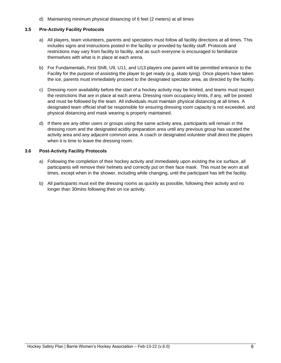d) Maintaining minimum physical distancing of 6 feet (2 meters) at all times

#### **3.5 Pre-Activity Facility Protocols**

- a) All players, team volunteers, parents and spectators must follow all facility directions at all times. This includes signs and instructions posted in the facility or provided by facility staff. Protocols and restrictions may vary from facility to facility, and as such everyone is encouraged to familiarize themselves with what is in place at each arena.
- b) For Fundamentals, First Shift, U9, U11, and U13 players one parent will be permitted entrance to the Facility for the purpose of assisting the player to get ready (e.g. skate tying). Once players have taken the ice, parents must immediately proceed to the designated spectator area, as directed by the facility.
- c) Dressing room availability before the start of a hockey activity may be limited, and teams must respect the restrictions that are in place at each arena. Dressing room occupancy limits, if any, will be posted and must be followed by the team. All individuals must maintain physical distancing at all times. A designated team official shall be responsible for ensuring dressing room capacity is not exceeded, and physical distancing and mask wearing is properly maintained.
- d) If there are any other users or groups using the same activity area, participants will remain in the dressing room and the designated acidity preparation area until any previous group has vacated the activity area and any adjacent common area. A coach or designated volunteer shall direct the players when it is time to leave the dressing room.

#### **3.6 Post-Activity Facility Protocols**

- a) Following the completion of their hockey activity and immediately upon existing the ice surface, all participants will remove their helmets and correctly put on their face mask. This must be worn at all times, except when in the shower, including while changing, until the participant has left the facility.
- b) All participants must exit the dressing rooms as quickly as possible, following their activity and no longer than 30mins following their on ice activity.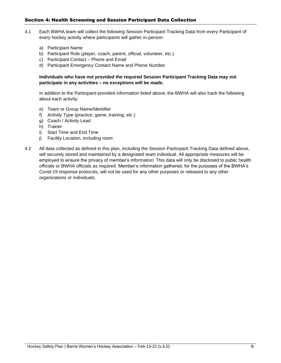# <span id="page-8-0"></span>Section 4: Health Screening and Session Participant Data Collection

- 4.1 Each BWHA team will collect the following Session Participant Tracking Data from every Participant of every hockey activity where participants will gather in-person:
	- a) Participant Name
	- b) Participant Role (player, coach, parent, official, volunteer, etc.)
	- c) Participant Contact Phone and Email
	- d) Participant Emergency Contact Name and Phone Number

**Individuals who have not provided the required Session Participant Tracking Data may not participate in any activities – no exceptions will be made.**

In addition to the Participant-provided information listed above, the BWHA will also track the following about each activity:

- e) Team or Group Name/Identifier
- f) Activity Type (practice, game, training, etc.)
- g) Coach / Activity Lead
- h) Trainer
- i) Start Time and End Time
- j) Facility Location, including room
- 4.2 All data collected as defined in this plan, including the Session Participant Tracking Data defined above, will securely stored and maintained by a designated team individual. All appropriate measures will be employed to ensure the privacy of member's information. This data will only be disclosed to public health officials or BWHA officials as required. Member's information gathered, for the purposes of the BWHA's Covid-19 response protocols, will not be used for any other purposes or released to any other organizations or individuals.